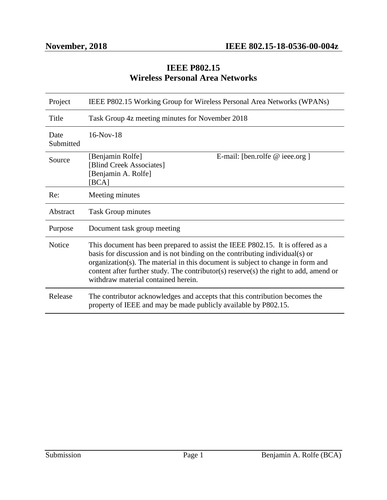## **IEEE P802.15 Wireless Personal Area Networks**

| Project           | IEEE P802.15 Working Group for Wireless Personal Area Networks (WPANs)                                                                                                                                                                                                                                                                                                            |
|-------------------|-----------------------------------------------------------------------------------------------------------------------------------------------------------------------------------------------------------------------------------------------------------------------------------------------------------------------------------------------------------------------------------|
| Title             | Task Group 4z meeting minutes for November 2018                                                                                                                                                                                                                                                                                                                                   |
| Date<br>Submitted | $16-Nov-18$                                                                                                                                                                                                                                                                                                                                                                       |
| Source            | E-mail: [ben.rolfe $@$ ieee.org ]<br>[Benjamin Rolfe]<br>[Blind Creek Associates]<br>[Benjamin A. Rolfe]<br>[BCA]                                                                                                                                                                                                                                                                 |
| Re:               | Meeting minutes                                                                                                                                                                                                                                                                                                                                                                   |
| Abstract          | Task Group minutes                                                                                                                                                                                                                                                                                                                                                                |
| Purpose           | Document task group meeting                                                                                                                                                                                                                                                                                                                                                       |
| <b>Notice</b>     | This document has been prepared to assist the IEEE P802.15. It is offered as a<br>basis for discussion and is not binding on the contributing individual(s) or<br>organization(s). The material in this document is subject to change in form and<br>content after further study. The contributor(s) reserve(s) the right to add, amend or<br>withdraw material contained herein. |
| Release           | The contributor acknowledges and accepts that this contribution becomes the<br>property of IEEE and may be made publicly available by P802.15.                                                                                                                                                                                                                                    |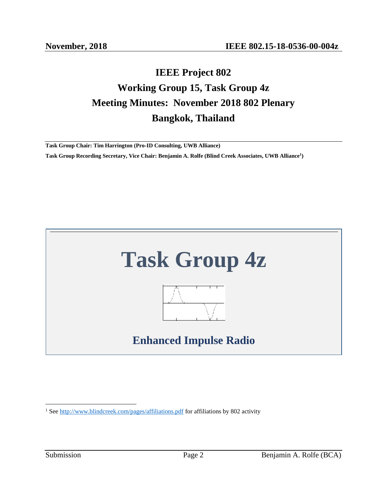# **IEEE Project 802 Working Group 15, Task Group 4z Meeting Minutes: November 2018 802 Plenary Bangkok, Thailand**

**Task Group Chair: Tim Harrington (Pro-ID Consulting, UWB Alliance) Task Group Recording Secretary, Vice Chair: Benjamin A. Rolfe (Blind Creek Associates, UWB Alliance<sup>1</sup> )**



 $\overline{a}$ <sup>1</sup> Se[e http://www.blindcreek.com/pages/affiliations.pdf](http://www.blindcreek.com/pages/affiliations.pdf) for affiliations by 802 activity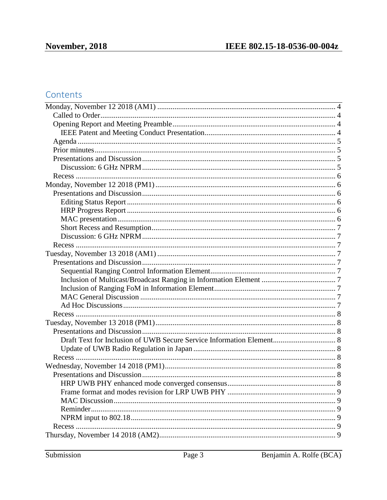## Contents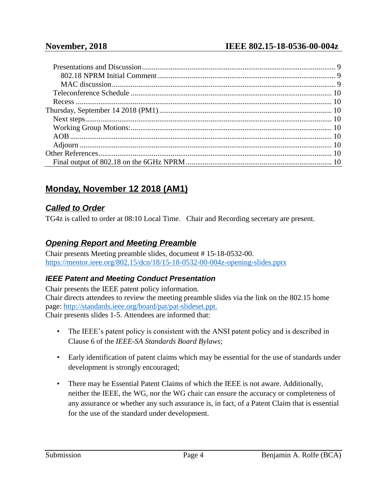## **November, 2018 IEEE 802.15-18-0536-00-004z**

## <span id="page-3-0"></span>**Monday, November 12 2018 (AM1)**

### <span id="page-3-1"></span>*Called to Order*

TG4z is called to order at 08:10 Local Time. Chair and Recording secretary are present.

## <span id="page-3-2"></span>*Opening Report and Meeting Preamble*

Chair presents Meeting preamble slides, document # 15-18-0532-00. <https://mentor.ieee.org/802.15/dcn/18/15-18-0532-00-004z-opening-slides.pptx>

## <span id="page-3-3"></span>*IEEE Patent and Meeting Conduct Presentation*

Chair presents the IEEE patent policy information. Chair directs attendees to review the meeting preamble slides via the link on the 802.15 home page: [http://standards.ieee.org/board/pat/pat-slideset.ppt.](http://standards.ieee.org/board/pat/pat-slideset.ppt) Chair presents slides 1-5. Attendees are informed that:

- The IEEE's patent policy is consistent with the ANSI patent policy and is described in Clause 6 of the *IEEE-SA Standards Board Bylaws*;
- Early identification of patent claims which may be essential for the use of standards under development is strongly encouraged;
- There may be Essential Patent Claims of which the IEEE is not aware. Additionally, neither the IEEE, the WG, nor the WG chair can ensure the accuracy or completeness of any assurance or whether any such assurance is, in fact, of a Patent Claim that is essential for the use of the standard under development.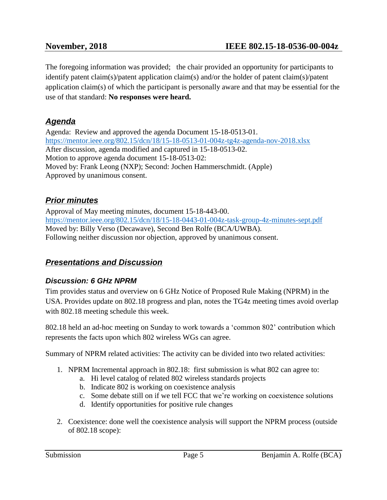The foregoing information was provided; the chair provided an opportunity for participants to identify patent claim(s)/patent application claim(s) and/or the holder of patent claim(s)/patent application claim(s) of which the participant is personally aware and that may be essential for the use of that standard: **No responses were heard.**

## <span id="page-4-0"></span>*Agenda*

Agenda: Review and approved the agenda Document 15-18-0513-01. <https://mentor.ieee.org/802.15/dcn/18/15-18-0513-01-004z-tg4z-agenda-nov-2018.xlsx> After discussion, agenda modified and captured in 15-18-0513-02. Motion to approve agenda document 15-18-0513-02: Moved by: Frank Leong (NXP); Second: Jochen Hammerschmidt. (Apple) Approved by unanimous consent.

## <span id="page-4-1"></span>*Prior minutes*

Approval of May meeting minutes, document 15-18-443-00. <https://mentor.ieee.org/802.15/dcn/18/15-18-0443-01-004z-task-group-4z-minutes-sept.pdf> Moved by: Billy Verso (Decawave), Second Ben Rolfe (BCA/UWBA). Following neither discussion nor objection, approved by unanimous consent.

## <span id="page-4-2"></span>*Presentations and Discussion*

## <span id="page-4-3"></span>*Discussion: 6 GHz NPRM*

Tim provides status and overview on 6 GHz Notice of Proposed Rule Making (NPRM) in the USA. Provides update on 802.18 progress and plan, notes the TG4z meeting times avoid overlap with 802.18 meeting schedule this week.

802.18 held an ad-hoc meeting on Sunday to work towards a 'common 802' contribution which represents the facts upon which 802 wireless WGs can agree.

Summary of NPRM related activities: The activity can be divided into two related activities:

- 1. NPRM Incremental approach in 802.18: first submission is what 802 can agree to:
	- a. Hi level catalog of related 802 wireless standards projects
	- b. Indicate 802 is working on coexistence analysis
	- c. Some debate still on if we tell FCC that we're working on coexistence solutions
	- d. Identify opportunities for positive rule changes
- 2. Coexistence: done well the coexistence analysis will support the NPRM process (outside of 802.18 scope):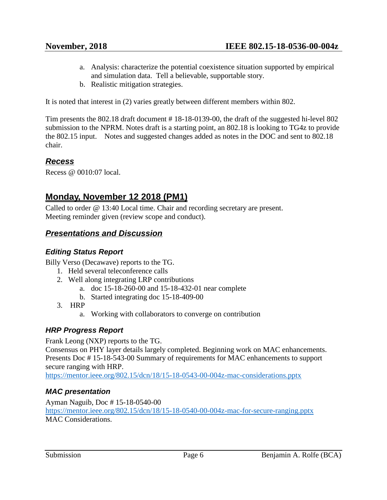- a. Analysis: characterize the potential coexistence situation supported by empirical and simulation data. Tell a believable, supportable story.
- b. Realistic mitigation strategies.

It is noted that interest in (2) varies greatly between different members within 802.

Tim presents the 802.18 draft document # 18-18-0139-00, the draft of the suggested hi-level 802 submission to the NPRM. Notes draft is a starting point, an 802.18 is looking to TG4z to provide the 802.15 input. Notes and suggested changes added as notes in the DOC and sent to 802.18 chair.

## <span id="page-5-0"></span>*Recess*

Recess @ 0010:07 local.

## <span id="page-5-1"></span>**Monday, November 12 2018 (PM1)**

Called to order @ 13:40 Local time. Chair and recording secretary are present. Meeting reminder given (review scope and conduct).

## <span id="page-5-2"></span>*Presentations and Discussion*

## <span id="page-5-3"></span>*Editing Status Report*

Billy Verso (Decawave) reports to the TG.

- 1. Held several teleconference calls
- 2. Well along integrating LRP contributions
	- a. doc 15-18-260-00 and 15-18-432-01 near complete
	- b. Started integrating doc 15-18-409-00
- 3. HRP
	- a. Working with collaborators to converge on contribution

## <span id="page-5-4"></span>*HRP Progress Report*

Frank Leong (NXP) reports to the TG.

Consensus on PHY layer details largely completed. Beginning work on MAC enhancements. Presents Doc # 15-18-543-00 Summary of requirements for MAC enhancements to support secure ranging with HRP.

<https://mentor.ieee.org/802.15/dcn/18/15-18-0543-00-004z-mac-considerations.pptx>

## <span id="page-5-5"></span>*MAC presentation*

Ayman Naguib, Doc # 15-18-0540-00 <https://mentor.ieee.org/802.15/dcn/18/15-18-0540-00-004z-mac-for-secure-ranging.pptx> MAC Considerations.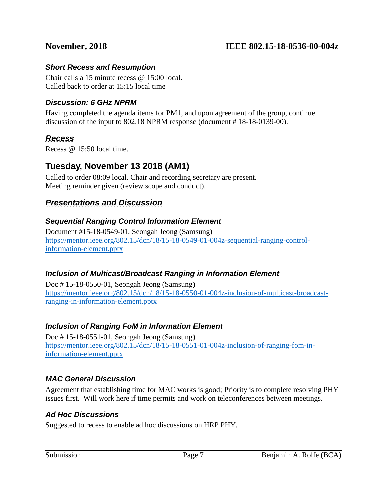#### <span id="page-6-0"></span>*Short Recess and Resumption*

Chair calls a 15 minute recess @ 15:00 local. Called back to order at 15:15 local time

#### <span id="page-6-1"></span>*Discussion: 6 GHz NPRM*

Having completed the agenda items for PM1, and upon agreement of the group, continue discussion of the input to 802.18 NPRM response (document # 18-18-0139-00).

## <span id="page-6-2"></span>*Recess*

Recess @ 15:50 local time.

## <span id="page-6-3"></span>**Tuesday, November 13 2018 (AM1)**

Called to order 08:09 local. Chair and recording secretary are present. Meeting reminder given (review scope and conduct).

## <span id="page-6-4"></span>*Presentations and Discussion*

#### <span id="page-6-5"></span>*Sequential Ranging Control Information Element*

Document #15-18-0549-01, Seongah Jeong (Samsung) [https://mentor.ieee.org/802.15/dcn/18/15-18-0549-01-004z-sequential-ranging-control](https://mentor.ieee.org/802.15/dcn/18/15-18-0549-01-004z-sequential-ranging-control-information-element.pptx)[information-element.pptx](https://mentor.ieee.org/802.15/dcn/18/15-18-0549-01-004z-sequential-ranging-control-information-element.pptx)

#### <span id="page-6-6"></span>*Inclusion of Multicast/Broadcast Ranging in Information Element*

Doc # 15-18-0550-01, Seongah Jeong (Samsung) [https://mentor.ieee.org/802.15/dcn/18/15-18-0550-01-004z-inclusion-of-multicast-broadcast](https://mentor.ieee.org/802.15/dcn/18/15-18-0550-01-004z-inclusion-of-multicast-broadcast-ranging-in-information-element.pptx)[ranging-in-information-element.pptx](https://mentor.ieee.org/802.15/dcn/18/15-18-0550-01-004z-inclusion-of-multicast-broadcast-ranging-in-information-element.pptx)

#### <span id="page-6-7"></span>*Inclusion of Ranging FoM in Information Element*

Doc # 15-18-0551-01, Seongah Jeong (Samsung) [https://mentor.ieee.org/802.15/dcn/18/15-18-0551-01-004z-inclusion-of-ranging-fom-in](https://mentor.ieee.org/802.15/dcn/18/15-18-0551-01-004z-inclusion-of-ranging-fom-in-information-element.pptx)[information-element.pptx](https://mentor.ieee.org/802.15/dcn/18/15-18-0551-01-004z-inclusion-of-ranging-fom-in-information-element.pptx)

#### <span id="page-6-8"></span>*MAC General Discussion*

Agreement that establishing time for MAC works is good; Priority is to complete resolving PHY issues first. Will work here if time permits and work on teleconferences between meetings.

#### <span id="page-6-9"></span>*Ad Hoc Discussions*

Suggested to recess to enable ad hoc discussions on HRP PHY.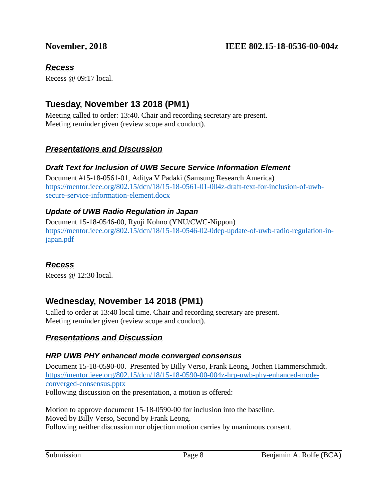## <span id="page-7-0"></span>*Recess*

Recess @ 09:17 local.

## <span id="page-7-1"></span>**Tuesday, November 13 2018 (PM1)**

Meeting called to order: 13:40. Chair and recording secretary are present. Meeting reminder given (review scope and conduct).

## <span id="page-7-2"></span>*Presentations and Discussion*

#### <span id="page-7-3"></span>*Draft Text for Inclusion of UWB Secure Service Information Element*

Document #15-18-0561-01, Aditya V Padaki (Samsung Research America) [https://mentor.ieee.org/802.15/dcn/18/15-18-0561-01-004z-draft-text-for-inclusion-of-uwb](https://mentor.ieee.org/802.15/dcn/18/15-18-0561-01-004z-draft-text-for-inclusion-of-uwb-secure-service-information-element.docx)[secure-service-information-element.docx](https://mentor.ieee.org/802.15/dcn/18/15-18-0561-01-004z-draft-text-for-inclusion-of-uwb-secure-service-information-element.docx)

## <span id="page-7-4"></span>*Update of UWB Radio Regulation in Japan*

Document 15-18-0546-00, Ryuji Kohno (YNU/CWC-Nippon) [https://mentor.ieee.org/802.15/dcn/18/15-18-0546-02-0dep-update-of-uwb-radio-regulation-in](https://mentor.ieee.org/802.15/dcn/18/15-18-0546-02-0dep-update-of-uwb-radio-regulation-in-japan.pdf)[japan.pdf](https://mentor.ieee.org/802.15/dcn/18/15-18-0546-02-0dep-update-of-uwb-radio-regulation-in-japan.pdf)

## <span id="page-7-5"></span>*Recess*

Recess @ 12:30 local.

## <span id="page-7-6"></span>**Wednesday, November 14 2018 (PM1)**

Called to order at 13:40 local time. Chair and recording secretary are present. Meeting reminder given (review scope and conduct).

## <span id="page-7-7"></span>*Presentations and Discussion*

#### <span id="page-7-8"></span>*HRP UWB PHY enhanced mode converged consensus*

Document 15-18-0590-00. Presented by Billy Verso, Frank Leong, Jochen Hammerschmidt. [https://mentor.ieee.org/802.15/dcn/18/15-18-0590-00-004z-hrp-uwb-phy-enhanced-mode](https://mentor.ieee.org/802.15/dcn/18/15-18-0590-00-004z-hrp-uwb-phy-enhanced-mode-converged-consensus.pptx)[converged-consensus.pptx](https://mentor.ieee.org/802.15/dcn/18/15-18-0590-00-004z-hrp-uwb-phy-enhanced-mode-converged-consensus.pptx) Following discussion on the presentation, a motion is offered:

Motion to approve document 15-18-0590-00 for inclusion into the baseline. Moved by Billy Verso, Second by Frank Leong. Following neither discussion nor objection motion carries by unanimous consent.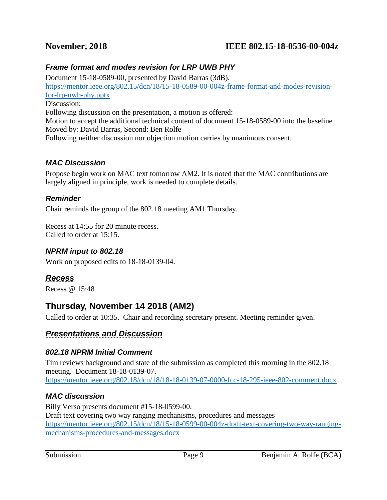#### <span id="page-8-0"></span>*Frame format and modes revision for LRP UWB PHY*

Document 15-18-0589-00, presented by David Barras (3dB). [https://mentor.ieee.org/802.15/dcn/18/15-18-0589-00-004z-frame-format-and-modes-revision](https://mentor.ieee.org/802.15/dcn/18/15-18-0589-00-004z-frame-format-and-modes-revision-for-lrp-uwb-phy.pptx)[for-lrp-uwb-phy.pptx](https://mentor.ieee.org/802.15/dcn/18/15-18-0589-00-004z-frame-format-and-modes-revision-for-lrp-uwb-phy.pptx) Discussion: Following discussion on the presentation, a motion is offered: Motion to accept the additional technical content of document 15-18-0589-00 into the baseline Moved by: David Barras, Second: Ben Rolfe Following neither discussion nor objection motion carries by unanimous consent.

#### <span id="page-8-1"></span>*MAC Discussion*

Propose begin work on MAC text tomorrow AM2. It is noted that the MAC contributions are largely aligned in principle, work is needed to complete details.

#### <span id="page-8-2"></span>*Reminder*

Chair reminds the group of the 802.18 meeting AM1 Thursday.

Recess at 14:55 for 20 minute recess. Called to order at 15:15.

#### <span id="page-8-3"></span>*NPRM input to 802.18*

Work on proposed edits to 18-18-0139-04.

## <span id="page-8-4"></span>*Recess*

Recess @ 15:48

## <span id="page-8-5"></span>**Thursday, November 14 2018 (AM2)**

Called to order at 10:35. Chair and recording secretary present. Meeting reminder given.

#### <span id="page-8-6"></span>*Presentations and Discussion*

#### <span id="page-8-7"></span>*802.18 NPRM Initial Comment*

Tim reviews background and state of the submission as completed this morning in the 802.18 meeting. Document 18-18-0139-07. <https://mentor.ieee.org/802.18/dcn/18/18-18-0139-07-0000-fcc-18-295-ieee-802-comment.docx>

#### <span id="page-8-8"></span>*MAC discussion*

Billy Verso presents document #15-18-0599-00. Draft text covering two way ranging mechanisms, procedures and messages [https://mentor.ieee.org/802.15/dcn/18/15-18-0599-00-004z-draft-text-covering-two-way-ranging](https://mentor.ieee.org/802.15/dcn/18/15-18-0599-00-004z-draft-text-covering-two-way-ranging-mechanisms-procedures-and-messages.docx)[mechanisms-procedures-and-messages.docx](https://mentor.ieee.org/802.15/dcn/18/15-18-0599-00-004z-draft-text-covering-two-way-ranging-mechanisms-procedures-and-messages.docx)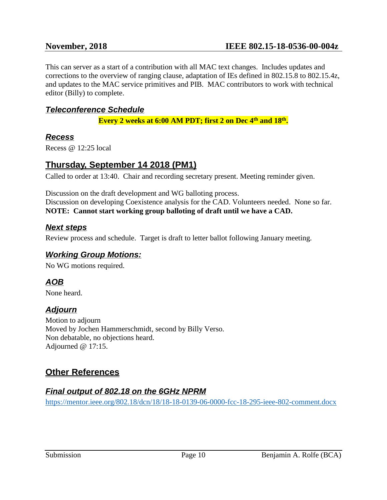This can server as a start of a contribution with all MAC text changes. Includes updates and corrections to the overview of ranging clause, adaptation of IEs defined in 802.15.8 to 802.15.4z, and updates to the MAC service primitives and PIB. MAC contributors to work with technical editor (Billy) to complete.

## <span id="page-9-0"></span>*Teleconference Schedule*

**Every 2 weeks at 6:00 AM PDT; first 2 on Dec 4th and 18th .**

#### <span id="page-9-1"></span>*Recess*

Recess @ 12:25 local

### <span id="page-9-2"></span>**Thursday, September 14 2018 (PM1)**

Called to order at 13:40. Chair and recording secretary present. Meeting reminder given.

Discussion on the draft development and WG balloting process. Discussion on developing Coexistence analysis for the CAD. Volunteers needed. None so far. **NOTE: Cannot start working group balloting of draft until we have a CAD.**

### <span id="page-9-3"></span>*Next steps*

Review process and schedule. Target is draft to letter ballot following January meeting.

## <span id="page-9-4"></span>*Working Group Motions:*

No WG motions required.

## <span id="page-9-5"></span>*AOB*

<span id="page-9-6"></span>None heard.

## *Adjourn*

Motion to adjourn Moved by Jochen Hammerschmidt, second by Billy Verso. Non debatable, no objections heard. Adjourned @ 17:15.

## <span id="page-9-7"></span>**Other References**

## <span id="page-9-8"></span>*Final output of 802.18 on the 6GHz NPRM*

<https://mentor.ieee.org/802.18/dcn/18/18-18-0139-06-0000-fcc-18-295-ieee-802-comment.docx>